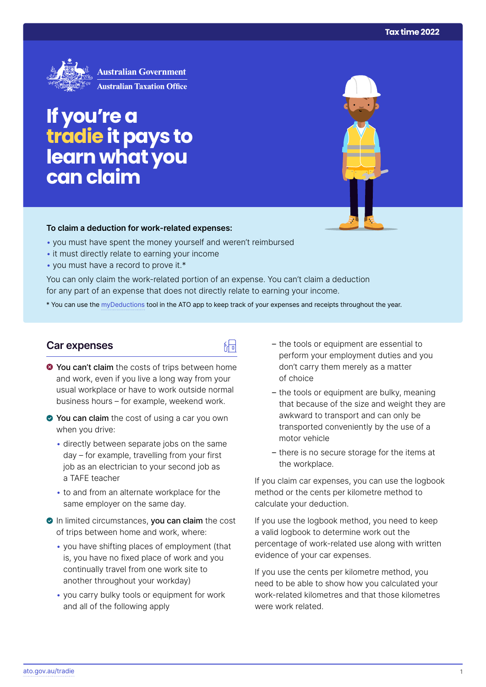

# **If you're a tradie it pays to learn what you can claim**

#### **To claim a deduction for work‑related expenses:**

- you must have spent the money yourself and weren't reimbursed
- it must directly relate to earning your income
- you must have a record to prove it.\*

You can only claim the work-related portion of an expense. You can't claim a deduction for any part of an expense that does not directly relate to earning your income.

\* You can use the [myDeductions](https://ato.gov.au/mydeductions) tool in the ATO app to keep track of your expenses and receipts throughout the year.

品

### **Car expenses**

- $\bullet$  You can't claim the costs of trips between home and work, even if you live a long way from your usual workplace or have to work outside normal business hours – for example, weekend work.
- ◆ You can claim the cost of using a car you own when you drive:
	- directly between separate jobs on the same day – for example, travelling from your first job as an electrician to your second job as a TAFE teacher
	- to and from an alternate workplace for the same employer on the same day.
- In limited circumstances, you can claim the cost of trips between home and work, where:
	- you have shifting places of employment (that is, you have no fixed place of work and you continually travel from one work site to another throughout your workday)
	- you carry bulky tools or equipment for work and all of the following apply
- the tools or equipment are essential to perform your employment duties and you don't carry them merely as a matter of choice
- the tools or equipment are bulky, meaning that because of the size and weight they are awkward to transport and can only be transported conveniently by the use of a motor vehicle
- there is no secure storage for the items at the workplace.

If you claim car expenses, you can use the logbook method or the cents per kilometre method to calculate your deduction.

If you use the logbook method, you need to keep a valid logbook to determine work out the percentage of work-related use along with written evidence of your car expenses.

If you use the cents per kilometre method, you need to be able to show how you calculated your work-related kilometres and that those kilometres were work related.